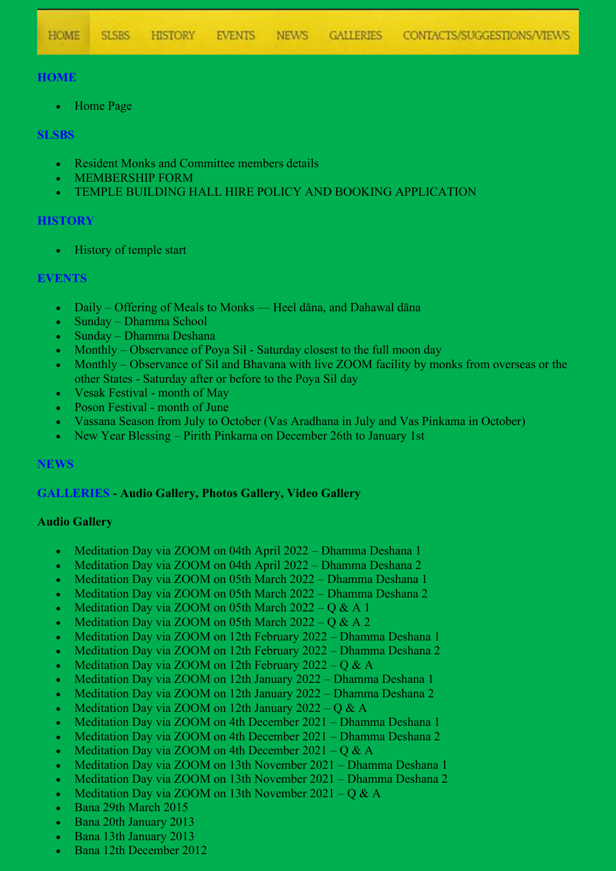# **HOME**

• Home Page

### **SLSBS**

- Resident Monks and Committee members details
- MEMBERSHIP FORM
- TEMPLE BUILDING HALL HIRE POLICY AND BOOKING APPLICATION

## **HISTORY**

• History of temple start

# **EVENTS**

- Daily Offering of Meals to Monks Heel dāna, and Dahawal dāna
- Sunday Dhamma School
- Sunday Dhamma Deshana
- Monthly Observance of Poya Sil Saturday closest to the full moon day
- Monthly Observance of Sil and Bhavana with live ZOOM facility by monks from overseas or the other States - Saturday after or before to the Poya Sil day
- Vesak Festival month of May
- Poson Festival month of June
- Vassana Season from July to October (Vas Aradhana in July and Vas Pinkama in October)
- New Year Blessing Pirith Pinkama on December 26th to January 1st

#### **NEWS**

#### **GALLERIES - Audio Gallery, Photos Gallery, Video Gallery**

#### **Audio Gallery**

- Meditation Day via ZOOM on 04th April 2022 Dhamma Deshana 1
- Meditation Day via ZOOM on 04th April 2022 Dhamma Deshana 2
- Meditation Day via ZOOM on 05th March 2022 Dhamma Deshana 1
- Meditation Day via ZOOM on 05th March 2022 Dhamma Deshana 2
- Meditation Day via ZOOM on 05th March  $2022 0 \& A1$
- Meditation Day via ZOOM on 05th March  $2022 Q & A 2$
- Meditation Day via ZOOM on 12th February 2022 Dhamma Deshana 1
- Meditation Day via ZOOM on 12th February 2022 Dhamma Deshana 2
- Meditation Day via ZOOM on 12th February 2022 Q  $\&$  A
- Meditation Day via ZOOM on 12th January 2022 Dhamma Deshana 1
- Meditation Day via ZOOM on 12th January 2022 Dhamma Deshana 2
- Meditation Day via ZOOM on 12th January 2022 Q & A
- Meditation Day via ZOOM on 4th December 2021 Dhamma Deshana 1
- Meditation Day via ZOOM on 4th December 2021 Dhamma Deshana 2
- Meditation Day via ZOOM on 4th December  $2021 Q & A$
- Meditation Day via ZOOM on 13th November 2021 Dhamma Deshana 1
- Meditation Day via ZOOM on 13th November 2021 Dhamma Deshana 2
- Meditation Day via ZOOM on 13th November  $2021 Q & A$
- Bana 29th March 2015
- Bana 20th January 2013
- Bana 13th January 2013
- Bana 12th December 2012